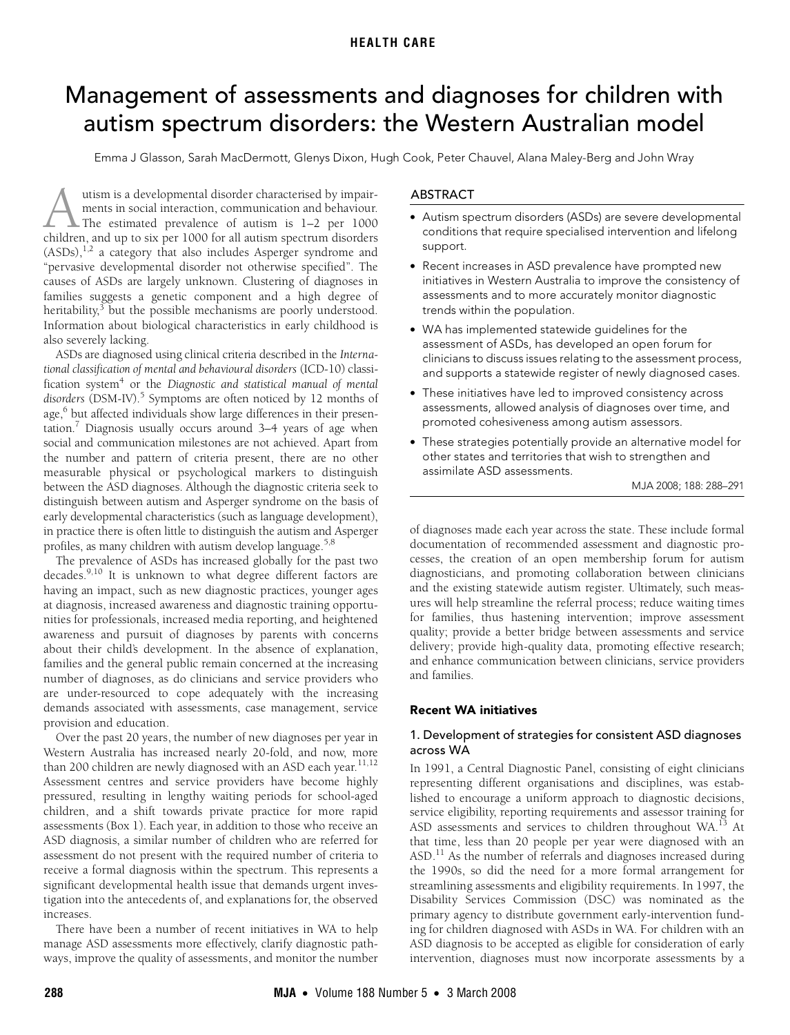# <span id="page-0-0"></span>Management of assessments and diagnoses for children with autism spectrum disorders: the Western Australian model

Emma J Glasson, Sarah MacDermott, Glenys Dixon, Hugh Cook, Peter Chauvel, Alana Maley-Berg and John Wray

families suggests a genetic component and a high degree of binty, but the possible inecriains Information about biological characteristics in early childhood is also severely lacking. utism is a developmental disorder characterised by impairments in social interaction, communication and behaviour. The estimated prevalence of autism is 1–2 per 1000 dutism is a developmental disorder characterised by impair-<br>ments in social interaction, communication and behaviour.<br>The estimated prevalence of autism is 1–2 per 1000<br>children, and up to six per 1000 for all autism spect  $(ASDs)$ ,<sup>1,2</sup> a category that also includes Asperger syndrome and "pervasive developmental disorder not otherwise specified". The causes of ASDs are largely unknown. Clustering of diagnoses in heritability, $3$  but the possible [mech](#page-0-0)[anis](#page-3-13)ms are poorly understood.

ASDs are diagnosed using clinical criteria described in the Interna*tional classification of mental and behavioural disorders* (ICD-10) classification system<sup>4</sup> or the Diagnostic and statistical manual of mental disorders (DSM-IV).<sup>[5](#page-3-4)</sup> Symptoms are often noticed by 12 months of age,<sup>[6](#page-3-5)</sup> but affected individuals show large differences in their presen-tation.<sup>[7](#page-3-6)</sup> Diagnosis usually occurs around 3–4 years of age when social and communication milestones are not achieved. Apart from the number and pattern of criteria present, there are no other measurable physical or psychological markers to distinguish between the ASD diagnoses. Although the diagnostic criteria seek to distinguish between autism and Asperger syndrome on the basis of early developmental characteristics (such as language development), in practice there is often little to distinguish the autism and Asperger profiles, as many children with autism develop language.<sup>[5](#page-3-4)[,8](#page-3-7)</sup>

The prevalence of ASDs has increased globally for the past two decades.<sup>9,[10](#page-3-9)</sup> It is unknown to what degree different factors are having an impact, such as new diagnostic practices, younger ages at diagnosis, increased awareness and diagnostic training opportunities for professionals, increased media reporting, and heightened awareness and pursuit of diagnoses by parents with concerns about their child's development. In the absence of explanation, families and the general public remain concerned at the increasing number of diagnoses, as do clinicians and service providers who are under-resourced to cope adequately with the increasing demands associated with assessments, case management, service provision and education.

Over the past 20 years, the number of new diagnoses per year in Western Australia has increased nearly 20-fold, and now, more than 200 children are newly diagnosed with an ASD each year.<sup>[11](#page-3-10),[12](#page-3-11)</sup> Assessment centres and service providers have become highly pressured, resulting in lengthy waiting periods for school-aged children, and a shift towards private practice for more rapid assessments (Box 1). Each year, in addition to those who receive an ASD diagnosis, a similar number of children who are referred for assessment do not present with the required number of criteria to receive a formal diagnosis within the spectrum. This represents a significant developmental health issue that demands urgent investigation into the antecedents of, and explanations for, the observed increases.

There have been a number of recent initiatives in WA to help manage ASD assessments more effectively, clarify diagnostic pathways, improve the quality of assessments, and monitor the number

# ABSTRACT

- Autism spectrum disorders (ASDs) are severe developmental conditions that require specialised intervention and lifelong support.
- Recent increases in ASD prevalence have prompted new initiatives in Western Australia to improve the consistency of assessments and to more accurately monitor diagnostic trends within the population.
- WA has implemented statewide guidelines for the assessment of ASDs, has developed an open forum for clinicians to discuss issues relating to the assessment process, and supports a statewide register of newly diagnosed cases.
- These initiatives have led to improved consistency across assessments, allowed analysis of diagnoses over time, and promoted cohesiveness among autism assessors.
- These strategies potentially provide an alternative model for other states and territories that wish to strengthen and assimilate ASD assessments.

MJA 2008; 188: 288–291

of diagnoses made each year across the state. These include formal documentation of recommended assessment and diagnostic processes, the creation of an open membership forum for autism diagnosticians, and promoting collaboration between clinicians and the existing statewide autism register. Ultimately, such measures will help streamline the referral process; reduce waiting times for families, thus hastening intervention; improve assessment quality; provide a better bridge between assessments and service delivery; provide high-quality data, promoting effective research; and enhance communication between clinicians, service providers and families.

# Recent WA initiatives

# 1. Development of strategies for consistent ASD diagnoses across WA

In 1991, a Central Diagnostic Panel, consisting of eight clinicians representing different organisations and disciplines, was established to encourage a uniform approach to diagnostic decisions, service eligibility, reporting requirements and assessor training for ASD assessments and services to children throughout WA.<sup>13</sup> At that time, less than 20 people per year were diagnosed with an ASD[.11](#page-3-10) As the number of referrals and diagnoses increased during the 1990s, so did the need for a more formal arrangement for streamlining assessments and eligibility requirements. In 1997, the Disability Services Commission (DSC) was nominated as the primary agency to distribute government early-intervention funding for children diagnosed with ASDs in WA. For children with an ASD diagnosis to be accepted as eligible for consideration of early intervention, diagnoses must now incorporate assessments by a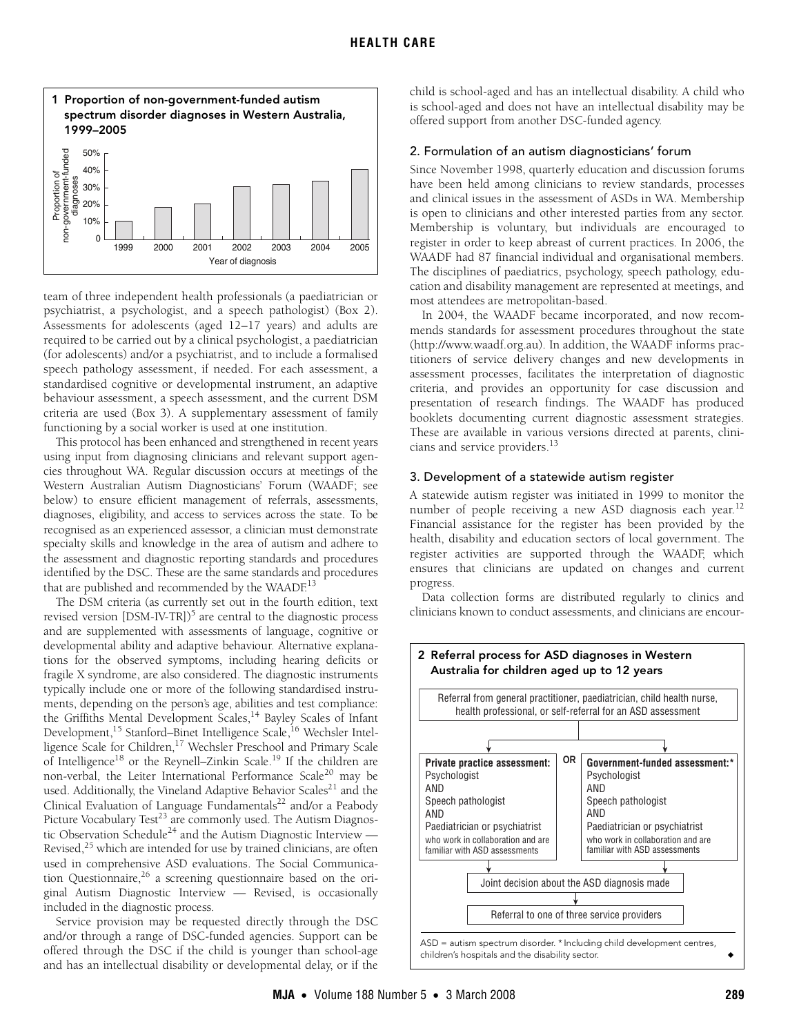

team of three independent health professionals (a paediatrician or psychiatrist, a psychologist, and a speech pathologist) (Box 2). Assessments for adolescents (aged 12–17 years) and adults are required to be carried out by a clinical psychologist, a paediatrician (for adolescents) and/or a psychiatrist, and to include a formalised speech pathology assessment, if needed. For each assessment, a standardised cognitive or developmental instrument, an adaptive behaviour assessment, a speech assessment, and the current DSM criteria are used (Box 3). A supplementary assessment of family functioning by a social worker is used at one institution.

This protocol has been enhanced and strengthened in recent years using input from diagnosing clinicians and relevant support agencies throughout WA. Regular discussion occurs at meetings of the Western Australian Autism Diagnosticians' Forum (WAADF; see below) to ensure efficient management of referrals, assessments, diagnoses, eligibility, and access to services across the state. To be recognised as an experienced assessor, a clinician must demonstrate specialty skills and knowledge in the area of autism and adhere to the assessment and diagnostic reporting standards and procedures identified by the DSC. These are the same standards and procedures that are published and recommended by the WAAD $E^{13}$  $E^{13}$  $E^{13}$ 

The DSM criteria (as currently set out in the fourth edition, text revised version [DSM-IV-TR])<sup>5</sup> are central to the diagnostic process and are supplemented with assessments of language, cognitive or developmental ability and adaptive behaviour. Alternative explanations for the observed symptoms, including hearing deficits or fragile X syndrome, are also considered. The diagnostic instruments typically include one or more of the following standardised instruments, depending on the person's age, abilities and test compliance: the Griffiths Mental Development Scales,<sup>14</sup> Bayley Scales of Infant Development,<sup>15</sup> Stanford–Binet Intelligence Scale,<sup>16</sup> Wechsler Intelligence Scale for Children,<sup>17</sup> Wechsler Preschool and Primary Scale of Intelligenc[e18](#page-3-18) or the Reynell–Zinkin Scale.[19](#page-3-19) If the children are non-verbal, the Leiter International Performance Scale<sup>[20](#page-3-20)</sup> may be used. Additionally, the Vineland Adaptive Behavior Scales<sup>21</sup> and the Clinical Evaluation of Language Fundamentals<sup>22</sup> and/or a Peabody Picture Vocabulary Test<sup>23</sup> are commonly used. The Autism Diagnos-tic Observation Schedule<sup>[24](#page-3-24)</sup> and the Autism Diagnostic Interview — Revised, $25$  which are intended for use by trained clinicians, are often used in comprehensive ASD evaluations. The Social Communication Questionnaire, $2^6$  a screening questionnaire based on the original Autism Diagnostic Interview — Revised, is occasionally included in the diagnostic process.

Service provision may be requested directly through the DSC and/or through a range of DSC-funded agencies. Support can be offered through the DSC if the child is younger than school-age and has an intellectual disability or developmental delay, or if the child is school-aged and has an intellectual disability. A child who is school-aged and does not have an intellectual disability may be offered support from another DSC-funded agency.

## 2. Formulation of an autism diagnosticians' forum

Since November 1998, quarterly education and discussion forums have been held among clinicians to review standards, processes and clinical issues in the assessment of ASDs in WA. Membership is open to clinicians and other interested parties from any sector. Membership is voluntary, but individuals are encouraged to register in order to keep abreast of current practices. In 2006, the WAADF had 87 financial individual and organisational members. The disciplines of paediatrics, psychology, speech pathology, education and disability management are represented at meetings, and most attendees are metropolitan-based.

In 2004, the WAADF became incorporated, and now recommends standards for assessment procedures throughout the state (http://www.waadf.org.au). In addition, the WAADF informs practitioners of service delivery changes and new developments in assessment processes, facilitates the interpretation of diagnostic criteria, and provides an opportunity for case discussion and presentation of research findings. The WAADF has produced booklets documenting current diagnostic assessment strategies. These are available in various versions directed at parents, clinicians and service providers.<sup>13</sup>

## 3. Development of a statewide autism register

A statewide autism register was initiated in 1999 to monitor the number of people receiving a new ASD diagnosis each year.<sup>[12](#page-3-11)</sup> Financial assistance for the register has been provided by the health, disability and education sectors of local government. The register activities are supported through the WAADF, which ensures that clinicians are updated on changes and current progress.

Data collection forms are distributed regularly to clinics and clinicians known to conduct assessments, and clinicians are encour-

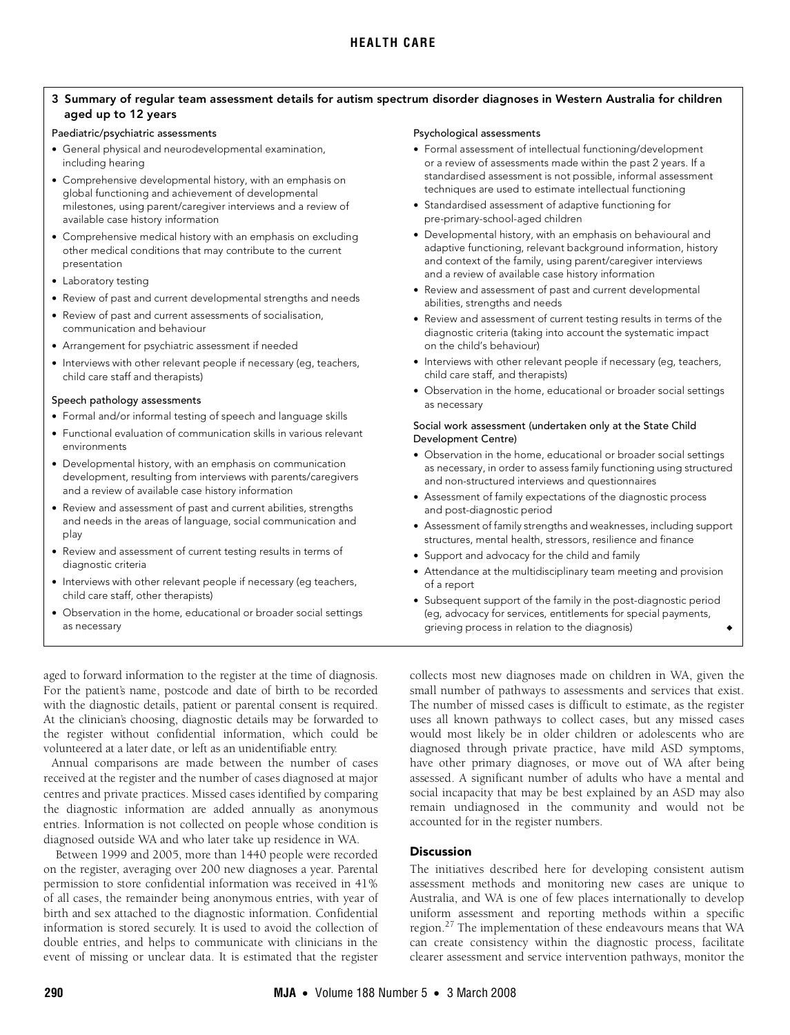# 3 Summary of regular team assessment details for autism spectrum disorder diagnoses in Western Australia for children aged up to 12 years

#### Paediatric/psychiatric assessments

- General physical and neurodevelopmental examination, including hearing
- Comprehensive developmental history, with an emphasis on global functioning and achievement of developmental milestones, using parent/caregiver interviews and a review of available case history information
- Comprehensive medical history with an emphasis on excluding other medical conditions that may contribute to the current presentation
- Laboratory testing
- Review of past and current developmental strengths and needs
- Review of past and current assessments of socialisation, communication and behaviour
- Arrangement for psychiatric assessment if needed
- Interviews with other relevant people if necessary (eg, teachers, child care staff and therapists)

#### Speech pathology assessments

- Formal and/or informal testing of speech and language skills
- Functional evaluation of communication skills in various relevant environments
- Developmental history, with an emphasis on communication development, resulting from interviews with parents/caregivers and a review of available case history information
- Review and assessment of past and current abilities, strengths and needs in the areas of language, social communication and play
- Review and assessment of current testing results in terms of diagnostic criteria
- Interviews with other relevant people if necessary (eg teachers, child care staff, other therapists)
- Observation in the home, educational or broader social settings as necessary

aged to forward information to the register at the time of diagnosis. For the patient's name, postcode and date of birth to be recorded with the diagnostic details, patient or parental consent is required. At the clinician's choosing, diagnostic details may be forwarded to the register without confidential information, which could be volunteered at a later date, or left as an unidentifiable entry.

Annual comparisons are made between the number of cases received at the register and the number of cases diagnosed at major centres and private practices. Missed cases identified by comparing the diagnostic information are added annually as anonymous entries. Information is not collected on people whose condition is diagnosed outside WA and who later take up residence in WA.

Between 1999 and 2005, more than 1440 people were recorded on the register, averaging over 200 new diagnoses a year. Parental permission to store confidential information was received in 41% of all cases, the remainder being anonymous entries, with year of birth and sex attached to the diagnostic information. Confidential information is stored securely. It is used to avoid the collection of double entries, and helps to communicate with clinicians in the event of missing or unclear data. It is estimated that the register

#### Psychological assessments

- Formal assessment of intellectual functioning/development or a review of assessments made within the past 2 years. If a standardised assessment is not possible, informal assessment techniques are used to estimate intellectual functioning
- Standardised assessment of adaptive functioning for pre-primary-school-aged children
- Developmental history, with an emphasis on behavioural and adaptive functioning, relevant background information, history and context of the family, using parent/caregiver interviews and a review of available case history information
- Review and assessment of past and current developmental abilities, strengths and needs
- Review and assessment of current testing results in terms of the diagnostic criteria (taking into account the systematic impact on the child's behaviour)
- Interviews with other relevant people if necessary (eg, teachers, child care staff, and therapists)
- Observation in the home, educational or broader social settings as necessary

#### Social work assessment (undertaken only at the State Child Development Centre)

- Observation in the home, educational or broader social settings as necessary, in order to assess family functioning using structured and non-structured interviews and questionnaires
- Assessment of family expectations of the diagnostic process and post-diagnostic period
- Assessment of family strengths and weaknesses, including support structures, mental health, stressors, resilience and finance
- Support and advocacy for the child and family
- Attendance at the multidisciplinary team meeting and provision of a report
- Subsequent support of the family in the post-diagnostic period (eg, advocacy for services, entitlements for special payments, grieving process in relation to the diagnosis)

collects most new diagnoses made on children in WA, given the small number of pathways to assessments and services that exist. The number of missed cases is difficult to estimate, as the register uses all known pathways to collect cases, but any missed cases would most likely be in older children or adolescents who are diagnosed through private practice, have mild ASD symptoms, have other primary diagnoses, or move out of WA after being assessed. A significant number of adults who have a mental and social incapacity that may be best explained by an ASD may also remain undiagnosed in the community and would not be accounted for in the register numbers.

## **Discussion**

The initiatives described here for developing consistent autism assessment methods and monitoring new cases are unique to Australia, and WA is one of few places internationally to develop uniform assessment and reporting methods within a specific region.<sup>[27](#page-3-13)</sup> The implementation of these endeavours means that WA can create consistency within the diagnostic process, facilitate clearer assessment and service intervention pathways, monitor the